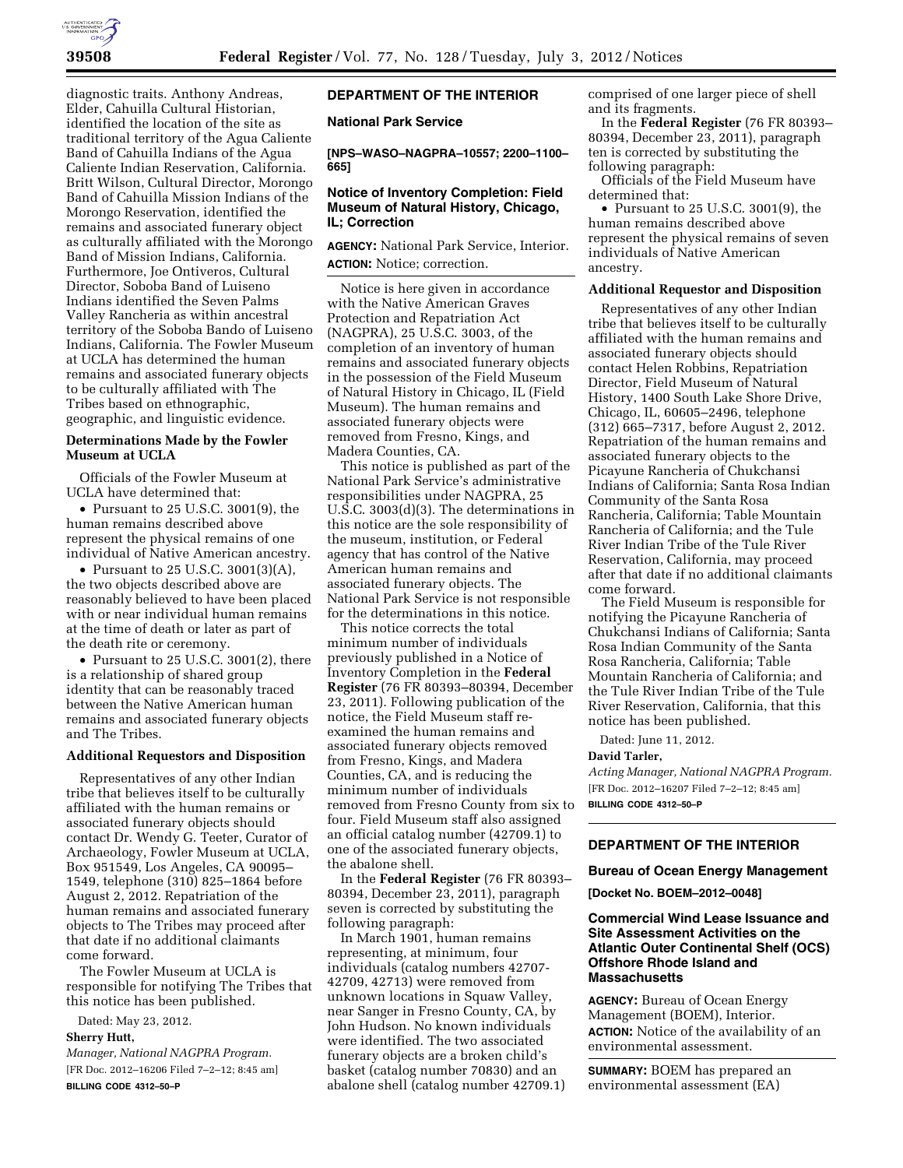

diagnostic traits. Anthony Andreas, Elder, Cahuilla Cultural Historian, identified the location of the site as traditional territory of the Agua Caliente Band of Cahuilla Indians of the Agua Caliente Indian Reservation, California. Britt Wilson, Cultural Director, Morongo Band of Cahuilla Mission Indians of the Morongo Reservation, identified the remains and associated funerary object as culturally affiliated with the Morongo Band of Mission Indians, California. Furthermore, Joe Ontiveros, Cultural Director, Soboba Band of Luiseno Indians identified the Seven Palms Valley Rancheria as within ancestral territory of the Soboba Bando of Luiseno Indians, California. The Fowler Museum at UCLA has determined the human remains and associated funerary objects to be culturally affiliated with The Tribes based on ethnographic, geographic, and linguistic evidence.

## **Determinations Made by the Fowler Museum at UCLA**

Officials of the Fowler Museum at UCLA have determined that:

• Pursuant to 25 U.S.C. 3001(9), the human remains described above represent the physical remains of one individual of Native American ancestry.

• Pursuant to 25 U.S.C. 3001(3)(A), the two objects described above are reasonably believed to have been placed with or near individual human remains at the time of death or later as part of the death rite or ceremony.

• Pursuant to 25 U.S.C. 3001(2), there is a relationship of shared group identity that can be reasonably traced between the Native American human remains and associated funerary objects and The Tribes.

### **Additional Requestors and Disposition**

Representatives of any other Indian tribe that believes itself to be culturally affiliated with the human remains or associated funerary objects should contact Dr. Wendy G. Teeter, Curator of Archaeology, Fowler Museum at UCLA, Box 951549, Los Angeles, CA 90095– 1549, telephone (310) 825–1864 before August 2, 2012. Repatriation of the human remains and associated funerary objects to The Tribes may proceed after that date if no additional claimants come forward.

The Fowler Museum at UCLA is responsible for notifying The Tribes that this notice has been published.

Dated: May 23, 2012.

# **Sherry Hutt,**

*Manager, National NAGPRA Program.*  [FR Doc. 2012–16206 Filed 7–2–12; 8:45 am] **BILLING CODE 4312–50–P** 

# **DEPARTMENT OF THE INTERIOR**

**National Park Service** 

**[NPS–WASO–NAGPRA–10557; 2200–1100– 665]** 

## **Notice of Inventory Completion: Field Museum of Natural History, Chicago, IL; Correction**

**AGENCY:** National Park Service, Interior. **ACTION:** Notice; correction.

Notice is here given in accordance with the Native American Graves Protection and Repatriation Act (NAGPRA), 25 U.S.C. 3003, of the completion of an inventory of human remains and associated funerary objects in the possession of the Field Museum of Natural History in Chicago, IL (Field Museum). The human remains and associated funerary objects were removed from Fresno, Kings, and Madera Counties, CA.

This notice is published as part of the National Park Service's administrative responsibilities under NAGPRA, 25 U.S.C. 3003(d)(3). The determinations in this notice are the sole responsibility of the museum, institution, or Federal agency that has control of the Native American human remains and associated funerary objects. The National Park Service is not responsible for the determinations in this notice.

This notice corrects the total minimum number of individuals previously published in a Notice of Inventory Completion in the **Federal Register** (76 FR 80393–80394, December 23, 2011). Following publication of the notice, the Field Museum staff reexamined the human remains and associated funerary objects removed from Fresno, Kings, and Madera Counties, CA, and is reducing the minimum number of individuals removed from Fresno County from six to four. Field Museum staff also assigned an official catalog number (42709.1) to one of the associated funerary objects, the abalone shell.

In the **Federal Register** (76 FR 80393– 80394, December 23, 2011), paragraph seven is corrected by substituting the following paragraph:

In March 1901, human remains representing, at minimum, four individuals (catalog numbers 42707- 42709, 42713) were removed from unknown locations in Squaw Valley, near Sanger in Fresno County, CA, by John Hudson. No known individuals were identified. The two associated funerary objects are a broken child's basket (catalog number 70830) and an abalone shell (catalog number 42709.1) comprised of one larger piece of shell and its fragments.

In the **Federal Register** (76 FR 80393– 80394, December 23, 2011), paragraph ten is corrected by substituting the following paragraph:

Officials of the Field Museum have determined that:

• Pursuant to 25 U.S.C. 3001(9), the human remains described above represent the physical remains of seven individuals of Native American ancestry.

## **Additional Requestor and Disposition**

Representatives of any other Indian tribe that believes itself to be culturally affiliated with the human remains and associated funerary objects should contact Helen Robbins, Repatriation Director, Field Museum of Natural History, 1400 South Lake Shore Drive, Chicago, IL, 60605–2496, telephone (312) 665–7317, before August 2, 2012. Repatriation of the human remains and associated funerary objects to the Picayune Rancheria of Chukchansi Indians of California; Santa Rosa Indian Community of the Santa Rosa Rancheria, California; Table Mountain Rancheria of California; and the Tule River Indian Tribe of the Tule River Reservation, California, may proceed after that date if no additional claimants come forward.

The Field Museum is responsible for notifying the Picayune Rancheria of Chukchansi Indians of California; Santa Rosa Indian Community of the Santa Rosa Rancheria, California; Table Mountain Rancheria of California; and the Tule River Indian Tribe of the Tule River Reservation, California, that this notice has been published.

Dated: June 11, 2012.

### **David Tarler,**

*Acting Manager, National NAGPRA Program.*  [FR Doc. 2012–16207 Filed 7–2–12; 8:45 am] **BILLING CODE 4312–50–P** 

### **DEPARTMENT OF THE INTERIOR**

#### **Bureau of Ocean Energy Management**

**[Docket No. BOEM–2012–0048]** 

## **Commercial Wind Lease Issuance and Site Assessment Activities on the Atlantic Outer Continental Shelf (OCS) Offshore Rhode Island and Massachusetts**

**AGENCY:** Bureau of Ocean Energy Management (BOEM), Interior. **ACTION:** Notice of the availability of an environmental assessment.

**SUMMARY:** BOEM has prepared an environmental assessment (EA)